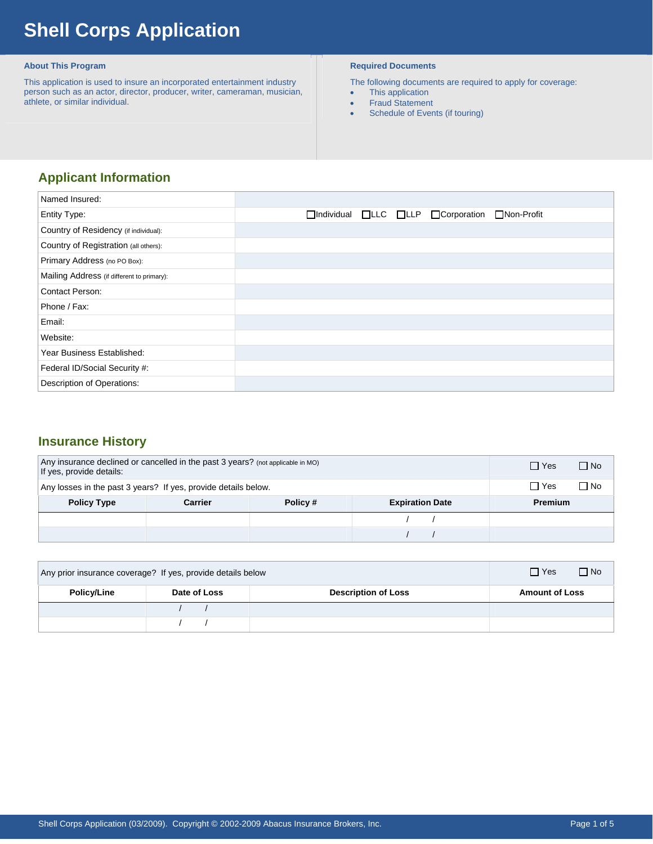# **Shell Corps Application**

#### **About This Program**

 This application is used to insure an incorporated entertainment industry person such as an actor, director, producer, writer, cameraman, musician, athlete, or similar individual.

### **Required Documents**

The following documents are required to apply for coverage:

- This application
- Fraud Statement
- Schedule of Events (if touring)

# **Applicant Information**

| Named Insured:                             |                                                                                 |
|--------------------------------------------|---------------------------------------------------------------------------------|
| <b>Entity Type:</b>                        | $\Box$ Individual $\Box$ LLC $\Box$ LLP $\Box$ Corporation<br>$\Box$ Non-Profit |
| Country of Residency (if individual):      |                                                                                 |
| Country of Registration (all others):      |                                                                                 |
| Primary Address (no PO Box):               |                                                                                 |
| Mailing Address (if different to primary): |                                                                                 |
| <b>Contact Person:</b>                     |                                                                                 |
| Phone / Fax:                               |                                                                                 |
| Email:                                     |                                                                                 |
| Website:                                   |                                                                                 |
| Year Business Established:                 |                                                                                 |
| Federal ID/Social Security #:              |                                                                                 |
| Description of Operations:                 |                                                                                 |

## **Insurance History**

| Any insurance declined or cancelled in the past 3 years? (not applicable in MO)<br>If yes, provide details: |         |         |                        | $\Box$ Yes     | $\Box$ No |
|-------------------------------------------------------------------------------------------------------------|---------|---------|------------------------|----------------|-----------|
| Any losses in the past 3 years? If yes, provide details below.                                              |         |         |                        | $\Box$ Yes     | ∩ No      |
| <b>Policy Type</b>                                                                                          | Carrier | Policy# | <b>Expiration Date</b> | <b>Premium</b> |           |
|                                                                                                             |         |         |                        |                |           |
|                                                                                                             |         |         |                        |                |           |

| Any prior insurance coverage? If yes, provide details below |              |                            | $\Box$ Yes<br>i⊟ No   |
|-------------------------------------------------------------|--------------|----------------------------|-----------------------|
| <b>Policy/Line</b>                                          | Date of Loss | <b>Description of Loss</b> | <b>Amount of Loss</b> |
|                                                             |              |                            |                       |
|                                                             |              |                            |                       |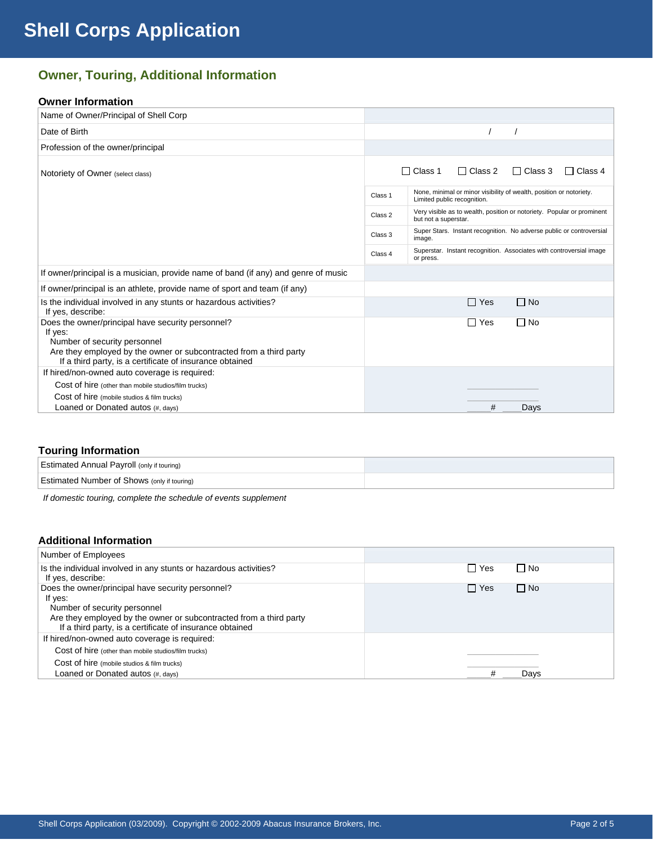# **Owner, Touring, Additional Information**

### **Owner Information**

| Name of Owner/Principal of Shell Corp                                                                                                                                                                                          |         |                                                                                                    |
|--------------------------------------------------------------------------------------------------------------------------------------------------------------------------------------------------------------------------------|---------|----------------------------------------------------------------------------------------------------|
| Date of Birth                                                                                                                                                                                                                  |         |                                                                                                    |
| Profession of the owner/principal                                                                                                                                                                                              |         |                                                                                                    |
| Notoriety of Owner (select class)                                                                                                                                                                                              |         | $\Box$ Class 1<br>$\Box$ Class 2<br>$\Box$ Class 3<br>$\Box$ Class 4                               |
|                                                                                                                                                                                                                                | Class 1 | None, minimal or minor visibility of wealth, position or notoriety.<br>Limited public recognition. |
|                                                                                                                                                                                                                                | Class 2 | Very visible as to wealth, position or notoriety. Popular or prominent<br>but not a superstar.     |
|                                                                                                                                                                                                                                | Class 3 | Super Stars. Instant recognition. No adverse public or controversial<br>image.                     |
|                                                                                                                                                                                                                                | Class 4 | Superstar. Instant recognition. Associates with controversial image<br>or press.                   |
| If owner/principal is a musician, provide name of band (if any) and genre of music                                                                                                                                             |         |                                                                                                    |
| If owner/principal is an athlete, provide name of sport and team (if any)                                                                                                                                                      |         |                                                                                                    |
| Is the individual involved in any stunts or hazardous activities?<br>If yes, describe:                                                                                                                                         |         | $\Box$ No<br>∏ Yes                                                                                 |
| Does the owner/principal have security personnel?<br>If yes:<br>Number of security personnel<br>Are they employed by the owner or subcontracted from a third party<br>If a third party, is a certificate of insurance obtained |         | $\Box$ No<br>$\Box$ Yes                                                                            |
| If hired/non-owned auto coverage is required:                                                                                                                                                                                  |         |                                                                                                    |
| Cost of hire (other than mobile studios/film trucks)                                                                                                                                                                           |         |                                                                                                    |
| Cost of hire (mobile studios & film trucks)                                                                                                                                                                                    |         |                                                                                                    |
| Loaned or Donated autos (#, days)                                                                                                                                                                                              |         | #<br>Days                                                                                          |

#### **Touring Information**

| <b>Estimated Annual Payroll (only if touring)</b>  |  |
|----------------------------------------------------|--|
| <b>Estimated Number of Shows (only if touring)</b> |  |

*If domestic touring, complete the schedule of events supplement* 

#### **Additional Information**

| Number of Employees                                                                                                                                                                                                            |                         |
|--------------------------------------------------------------------------------------------------------------------------------------------------------------------------------------------------------------------------------|-------------------------|
| Is the individual involved in any stunts or hazardous activities?<br>If yes, describe:                                                                                                                                         | $\Box$ No<br>□ Yes      |
| Does the owner/principal have security personnel?<br>If yes:<br>Number of security personnel<br>Are they employed by the owner or subcontracted from a third party<br>If a third party, is a certificate of insurance obtained | $\Box$ No<br>$\Box$ Yes |
| If hired/non-owned auto coverage is required:<br>Cost of hire (other than mobile studios/film trucks)<br>Cost of hire (mobile studios & film trucks)                                                                           |                         |
| Loaned or Donated autos (#, days)                                                                                                                                                                                              | Days                    |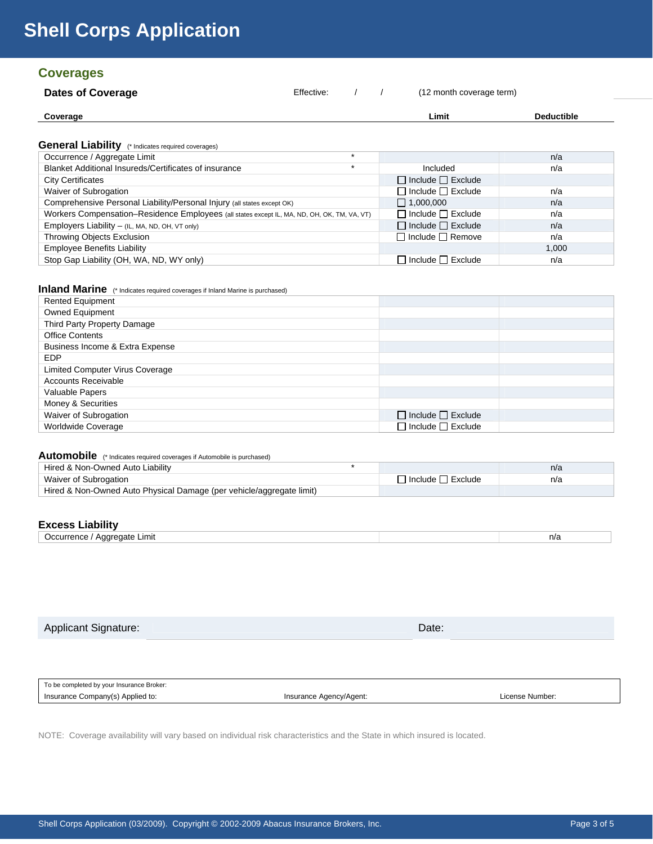# **Shell Corps Application**

# **Coverages**

| <b>Dates of Coverage</b> | Effective: |  | (12 month coverage term) |                   |
|--------------------------|------------|--|--------------------------|-------------------|
| Coverage                 |            |  | Limit                    | <b>Deductible</b> |

#### **General Liability** (\* Indicates required coverages)

| $\bullet$ on or an $\bullet$ ration of $\bullet$ indicates required coverages)              |                               |       |
|---------------------------------------------------------------------------------------------|-------------------------------|-------|
| Occurrence / Aggregate Limit<br>$\star$                                                     |                               | n/a   |
| Blanket Additional Insureds/Certificates of insurance<br>$\star$                            | Included                      | n/a   |
| <b>City Certificates</b>                                                                    | $\Box$ Include $\Box$ Exclude |       |
| Waiver of Subrogation                                                                       | $\Box$ Include $\Box$ Exclude | n/a   |
| Comprehensive Personal Liability/Personal Injury (all states except OK)                     | $\Box$ 1,000,000              | n/a   |
| Workers Compensation-Residence Employees (all states except IL, MA, ND, OH, OK, TM, VA, VT) | $\Box$ Include $\Box$ Exclude | n/a   |
| Employers Liability - (IL, MA, ND, OH, VT only)                                             | $\Box$ Include $\Box$ Exclude | n/a   |
| Throwing Objects Exclusion                                                                  | $\Box$ Include $\Box$ Remove  | n/a   |
| <b>Employee Benefits Liability</b>                                                          |                               | 1.000 |
| Stop Gap Liability (OH, WA, ND, WY only)                                                    | $\Box$ Include $\Box$ Exclude | n/a   |

## **Inland Marine** (\* Indicates required coverages if Inland Marine is purchased)

| <b>Rented Equipment</b>         |                               |  |
|---------------------------------|-------------------------------|--|
| <b>Owned Equipment</b>          |                               |  |
| Third Party Property Damage     |                               |  |
| <b>Office Contents</b>          |                               |  |
| Business Income & Extra Expense |                               |  |
| <b>EDP</b>                      |                               |  |
| Limited Computer Virus Coverage |                               |  |
| <b>Accounts Receivable</b>      |                               |  |
| Valuable Papers                 |                               |  |
| Money & Securities              |                               |  |
| Waiver of Subrogation           | $\Box$ Include $\Box$ Exclude |  |
| Worldwide Coverage              | $\Box$ Include $\Box$ Exclude |  |

# Automobile (\* Indicates required coverages if Automobile is purchased)

| Hired & Non-Owned Auto Liability                                     |                       | n/a |
|----------------------------------------------------------------------|-----------------------|-----|
| Waiver of Subrogation                                                | □ Include [ ] Exclude | n/a |
| Hired & Non-Owned Auto Physical Damage (per vehicle/aggregate limit) |                       |     |

## **Excess Liability**

| ---------                                         |     |
|---------------------------------------------------|-----|
| .ımıt<br>пате<br>,,,<br>$\sim$ 0.10 H $\sim$<br>ັ | า/ล |
|                                                   |     |

Applicant Signature: Date: Date: Date: Date: Date: Date: Date: Date: Date: Date: Date: Date: Date: Date: Date:

To be completed by your Insurance Broker: Insurance Company(s) Applied to:  $\blacksquare$  Insurance Agency/Agent:  $\blacksquare$  License Number:

NOTE: Coverage availability will vary based on individual risk characteristics and the State in which insured is located.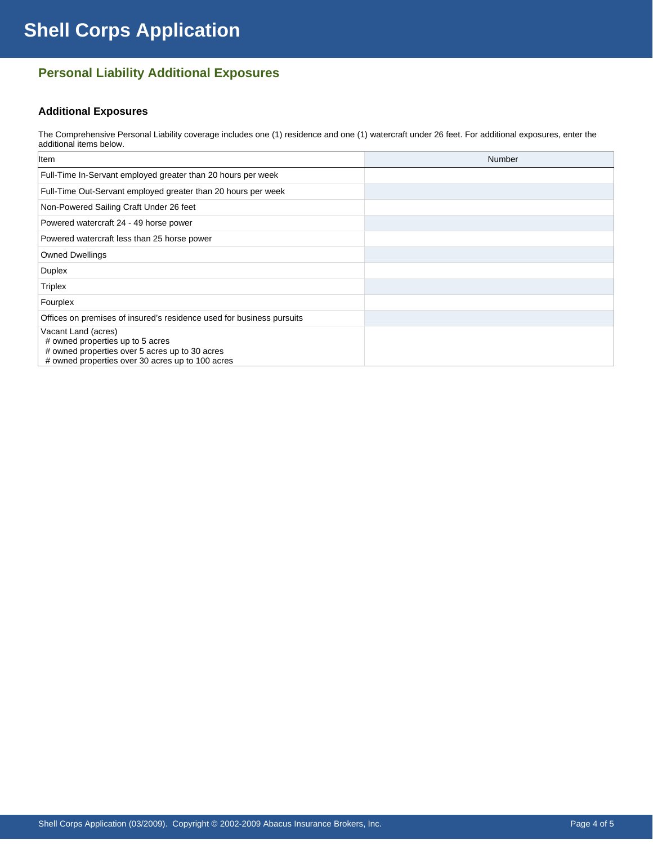# **Personal Liability Additional Exposures**

## **Additional Exposures**

The Comprehensive Personal Liability coverage includes one (1) residence and one (1) watercraft under 26 feet. For additional exposures, enter the additional items below.

| <b>Item</b>                                                                                                                                                   | Number |
|---------------------------------------------------------------------------------------------------------------------------------------------------------------|--------|
| Full-Time In-Servant employed greater than 20 hours per week                                                                                                  |        |
| Full-Time Out-Servant employed greater than 20 hours per week                                                                                                 |        |
| Non-Powered Sailing Craft Under 26 feet                                                                                                                       |        |
| Powered watercraft 24 - 49 horse power                                                                                                                        |        |
| Powered watercraft less than 25 horse power                                                                                                                   |        |
| <b>Owned Dwellings</b>                                                                                                                                        |        |
| <b>Duplex</b>                                                                                                                                                 |        |
| <b>Triplex</b>                                                                                                                                                |        |
| Fourplex                                                                                                                                                      |        |
| Offices on premises of insured's residence used for business pursuits                                                                                         |        |
| Vacant Land (acres)<br># owned properties up to 5 acres<br># owned properties over 5 acres up to 30 acres<br># owned properties over 30 acres up to 100 acres |        |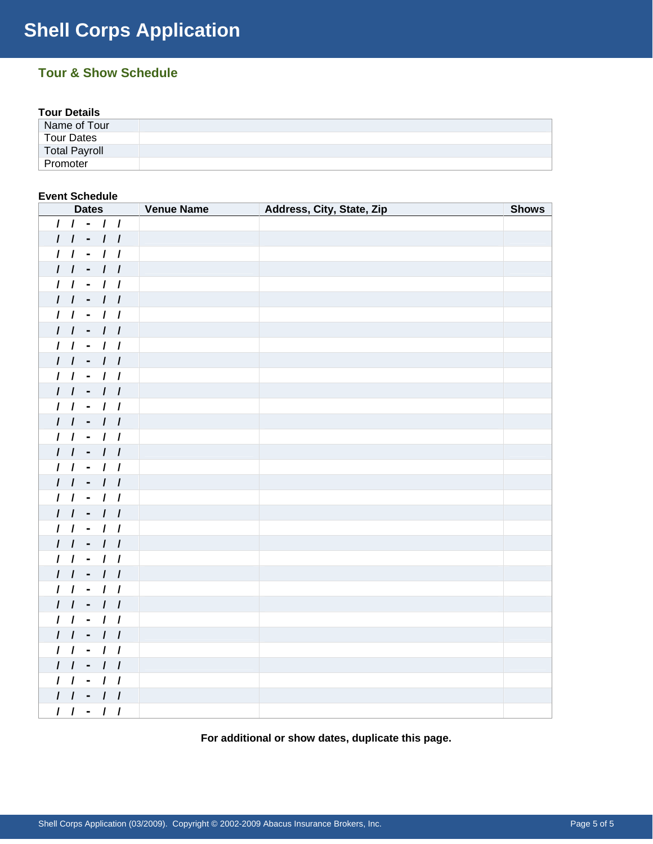# **Tour & Show Schedule**

## **Tour Details**

| --------------       |  |  |
|----------------------|--|--|
| Name of Tour         |  |  |
| <b>Tour Dates</b>    |  |  |
| <b>Total Payroll</b> |  |  |
| Promoter             |  |  |

## **Event Schedule**

| <b>Dates</b> | <b>State Venue Name</b> | Address, City, State, Zip | <b>Shows</b> |
|--------------|-------------------------|---------------------------|--------------|
| $11 - 11$    |                         |                           |              |
| $11 - 11$    |                         |                           |              |
| $11 - 11$    |                         |                           |              |
| $11 - 11$    |                         |                           |              |
| $11 - 11$    |                         |                           |              |
| $11 - 11$    |                         |                           |              |
| $11 - 11$    |                         |                           |              |
| $11 - 11$    |                         |                           |              |
| $11 - 11$    |                         |                           |              |
| $11 - 11$    |                         |                           |              |
| $11 - 11$    |                         |                           |              |
| $11 - 11$    |                         |                           |              |
| $11 - 11$    |                         |                           |              |
| $11 - 11$    |                         |                           |              |
| $11 - 11$    |                         |                           |              |
| $11 - 11$    |                         |                           |              |
| $11 - 11$    |                         |                           |              |
| $11 - 11$    |                         |                           |              |
| $11 - 11$    |                         |                           |              |
| $11 - 11$    |                         |                           |              |
| $11 - 11$    |                         |                           |              |
| $11 - 11$    |                         |                           |              |
| $11 - 11$    |                         |                           |              |
| $11 - 11$    |                         |                           |              |
| $11 - 11$    |                         |                           |              |
| $11 - 11$    |                         |                           |              |
| $11 - 11$    |                         |                           |              |
| $11 - 11$    |                         |                           |              |
| $11 - 11$    |                         |                           |              |
| $11 - 11$    |                         |                           |              |
| $11 - 11$    |                         |                           |              |
| $11 - 11$    |                         |                           |              |
| $11 - 11$    |                         |                           |              |

**For additional or show dates, duplicate this page.**